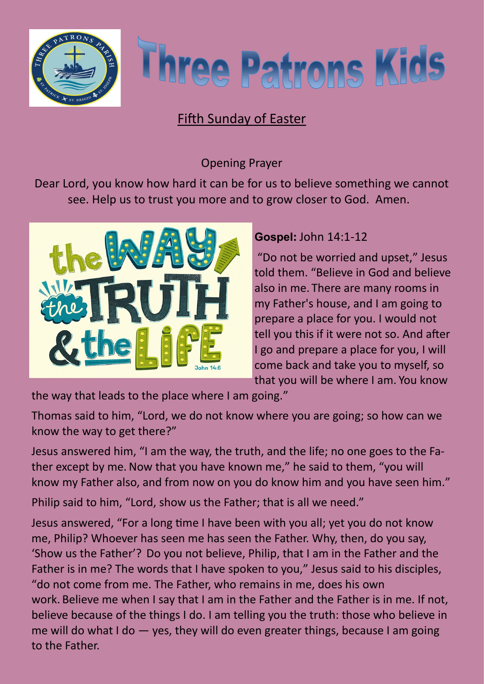



## Fifth Sunday of Easter

## Opening Prayer

Dear Lord, you know how hard it can be for us to believe something we cannot see. Help us to trust you more and to grow closer to God. Amen.



## **Gospel:** John 14:1-12

"Do not be worried and upset," Jesus told them. "Believe in God and believe also in me. There are many rooms in my Father's house, and I am going to prepare a place for you. I would not tell you this if it were not so. And after I go and prepare a place for you, I will come back and take you to myself, so that you will be where I am. You know

the way that leads to the place where I am going."

Thomas said to him, "Lord, we do not know where you are going; so how can we know the way to get there?"

Jesus answered him, "I am the way, the truth, and the life; no one goes to the Father except by me. Now that you have known me," he said to them, "you will know my Father also, and from now on you do know him and you have seen him."

Philip said to him, "Lord, show us the Father; that is all we need."

Jesus answered, "For a long time I have been with you all; yet you do not know me, Philip? Whoever has seen me has seen the Father. Why, then, do you say, 'Show us the Father'? Do you not believe, Philip, that I am in the Father and the Father is in me? The words that I have spoken to you," Jesus said to his disciples, "do not come from me. The Father, who remains in me, does his own work. Believe me when I say that I am in the Father and the Father is in me. If not, believe because of the things I do. I am telling you the truth: those who believe in me will do what I do — yes, they will do even greater things, because I am going to the Father.